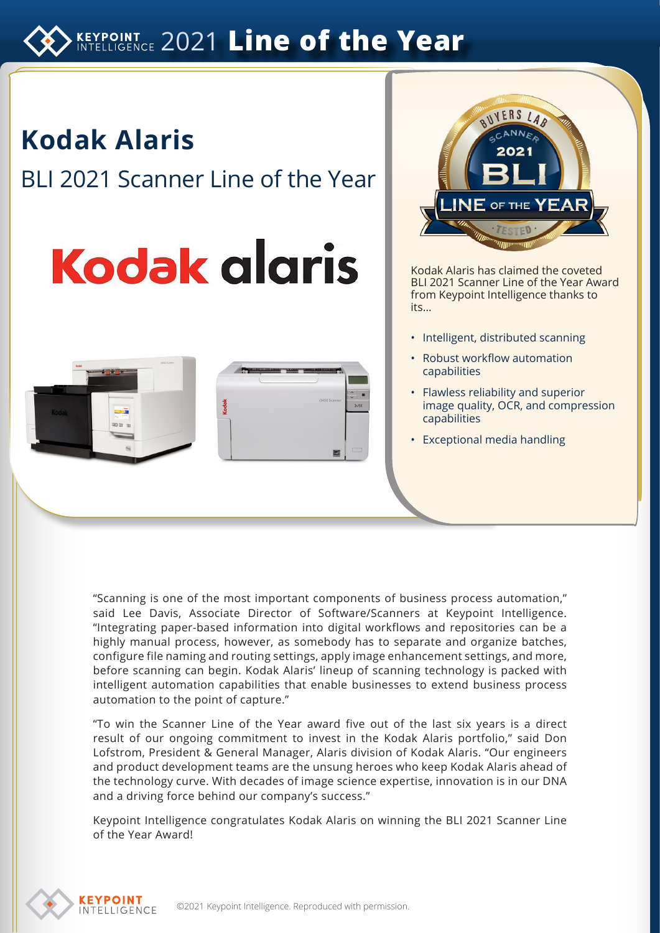# **KEYPOINT 2021 Line of the Year**

**Kodak Alaris** BLI 2021 Scanner Line of the Year

# **Kodak glgris**







Kodak Alaris has claimed the coveted BLI 2021 Scanner Line of the Year Award from Keypoint Intelligence thanks to its…

- Intelligent, distributed scanning
- Robust workflow automation capabilities
- Flawless reliability and superior image quality, OCR, and compression capabilities
- Exceptional media handling

"Scanning is one of the most important components of business process automation," said Lee Davis, Associate Director of Software/Scanners at Keypoint Intelligence. "Integrating paper-based information into digital workflows and repositories can be a highly manual process, however, as somebody has to separate and organize batches, configure file naming and routing settings, apply image enhancement settings, and more, before scanning can begin. Kodak Alaris' lineup of scanning technology is packed with intelligent automation capabilities that enable businesses to extend business process automation to the point of capture."

"To win the Scanner Line of the Year award five out of the last six years is a direct result of our ongoing commitment to invest in the Kodak Alaris portfolio," said Don Lofstrom, President & General Manager, Alaris division of Kodak Alaris. "Our engineers and product development teams are the unsung heroes who keep Kodak Alaris ahead of the technology curve. With decades of image science expertise, innovation is in our DNA and a driving force behind our company's success."

Keypoint Intelligence congratulates Kodak Alaris on winning the BLI 2021 Scanner Line of the Year Award!

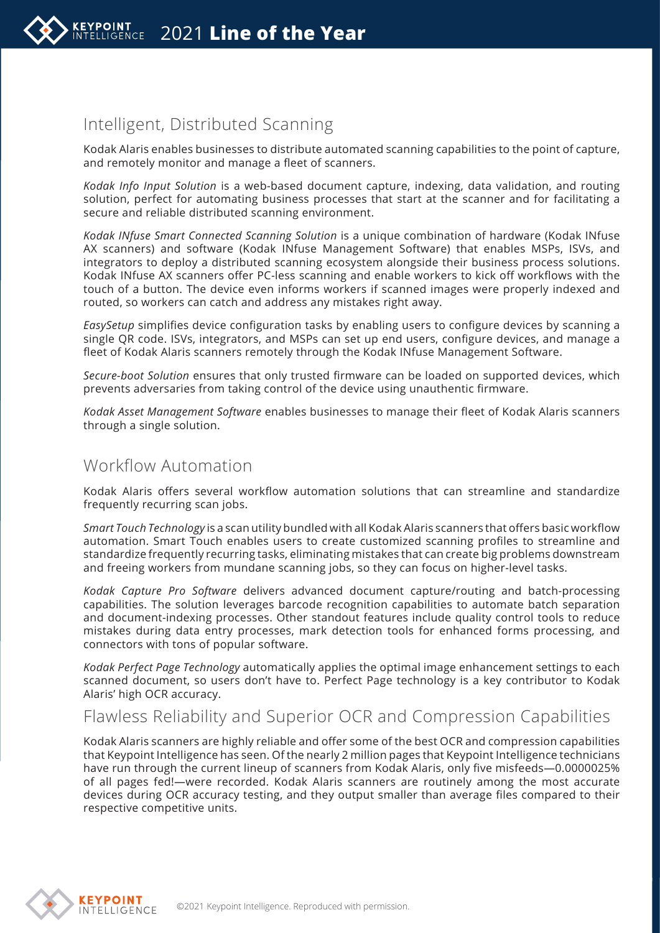

# Intelligent, Distributed Scanning

Kodak Alaris enables businesses to distribute automated scanning capabilities to the point of capture, and remotely monitor and manage a fleet of scanners.

*Kodak Info Input Solution* is a web-based document capture, indexing, data validation, and routing solution, perfect for automating business processes that start at the scanner and for facilitating a secure and reliable distributed scanning environment.

*Kodak INfuse Smart Connected Scanning Solution* is a unique combination of hardware (Kodak INfuse AX scanners) and software (Kodak INfuse Management Software) that enables MSPs, ISVs, and integrators to deploy a distributed scanning ecosystem alongside their business process solutions. Kodak INfuse AX scanners offer PC-less scanning and enable workers to kick off workflows with the touch of a button. The device even informs workers if scanned images were properly indexed and routed, so workers can catch and address any mistakes right away.

*EasySetup* simplifies device configuration tasks by enabling users to configure devices by scanning a single QR code. ISVs, integrators, and MSPs can set up end users, configure devices, and manage a fleet of Kodak Alaris scanners remotely through the Kodak INfuse Management Software.

*Secure-boot Solution* ensures that only trusted firmware can be loaded on supported devices, which prevents adversaries from taking control of the device using unauthentic firmware.

*Kodak Asset Management Software* enables businesses to manage their fleet of Kodak Alaris scanners through a single solution.

### Workflow Automation

Kodak Alaris offers several workflow automation solutions that can streamline and standardize frequently recurring scan jobs.

*Smart Touch Technology* is a scan utility bundled with all Kodak Alaris scanners that offers basic workflow automation. Smart Touch enables users to create customized scanning profiles to streamline and standardize frequently recurring tasks, eliminating mistakes that can create big problems downstream and freeing workers from mundane scanning jobs, so they can focus on higher-level tasks.

*Kodak Capture Pro Software* delivers advanced document capture/routing and batch-processing capabilities. The solution leverages barcode recognition capabilities to automate batch separation and document-indexing processes. Other standout features include quality control tools to reduce mistakes during data entry processes, mark detection tools for enhanced forms processing, and connectors with tons of popular software.

*Kodak Perfect Page Technology* automatically applies the optimal image enhancement settings to each scanned document, so users don't have to. Perfect Page technology is a key contributor to Kodak Alaris' high OCR accuracy.

## Flawless Reliability and Superior OCR and Compression Capabilities

Kodak Alaris scanners are highly reliable and offer some of the best OCR and compression capabilities that Keypoint Intelligence has seen. Of the nearly 2 million pages that Keypoint Intelligence technicians have run through the current lineup of scanners from Kodak Alaris, only five misfeeds—0.0000025% of all pages fed!—were recorded. Kodak Alaris scanners are routinely among the most accurate devices during OCR accuracy testing, and they output smaller than average files compared to their respective competitive units.

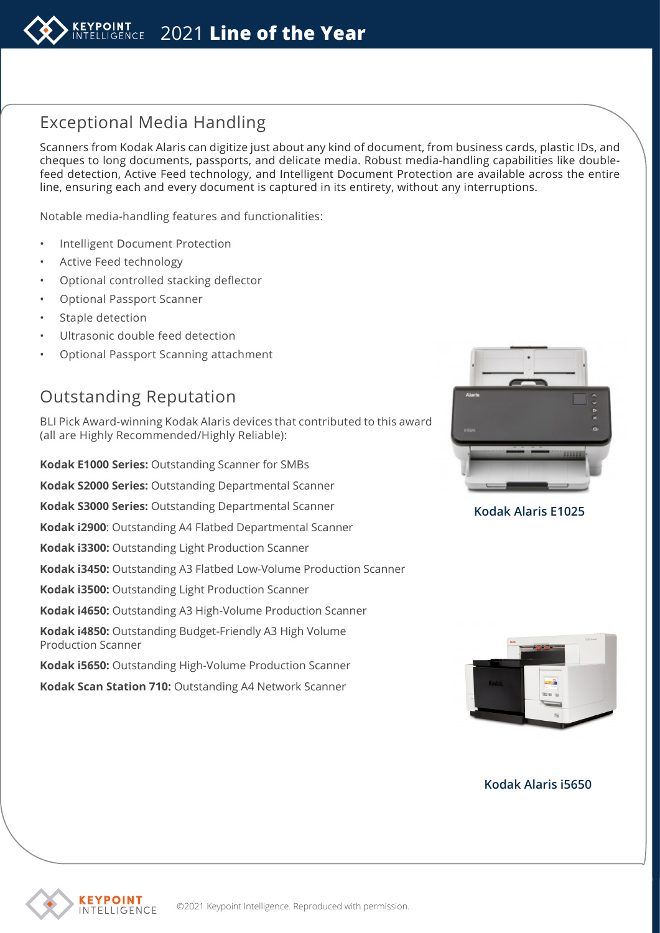

# Exceptional Media Handling

Scanners from Kodak Alaris can digitize just about any kind of document, from business cards, plastic IDs, and cheques to long documents, passports, and delicate media. Robust media-handling capabilities like doublefeed detection, Active Feed technology, and Intelligent Document Protection are available across the entire line, ensuring each and every document is captured in its entirety, without any interruptions.

Notable media-handling features and functionalities:

- Intelligent Document Protection
- Active Feed technology
- Optional controlled stacking deflector
- Optional Passport Scanner
- Staple detection
- Ultrasonic double feed detection
- Optional Passport Scanning attachment

# Outstanding Reputation

BLI Pick Award-winning Kodak Alaris devices that contributed to this award (all are Highly Recommended/Highly Reliable):

**Kodak E1000 Series:** Outstanding Scanner for SMBs

**Kodak S2000 Series:** Outstanding Departmental Scanner

**Kodak S3000 Series:** Outstanding Departmental Scanner

**Kodak i2900**: Outstanding A4 Flatbed Departmental Scanner

**Kodak i3300:** Outstanding Light Production Scanner

**Kodak i3450:** Outstanding A3 Flatbed Low-Volume Production Scanner

**Kodak i3500:** Outstanding Light Production Scanner

**Kodak i4650:** Outstanding A3 High-Volume Production Scanner

**Kodak i4850:** Outstanding Budget-Friendly A3 High Volume Production Scanner

**Kodak i5650:** Outstanding High-Volume Production Scanner

**Kodak Scan Station 710:** Outstanding A4 Network Scanner



**Kodak Alaris E1025**



#### **Kodak Alaris i5650**

*<u>EYPOINT</u>* INTELLIGENCE